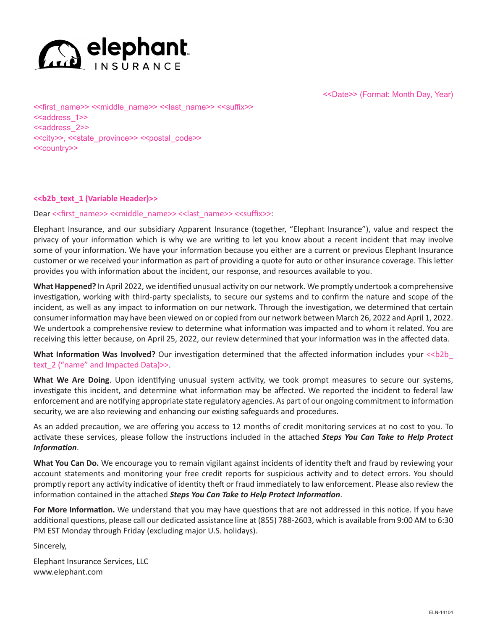

<<Date>> (Format: Month Day, Year)

<<first\_name>> <<middle\_name>> <<last\_name>> <<suffix>> <<address\_1>> <<address 2>> <<city>>, <<state\_province>> <<postal\_code>> <<country>>

# **<<b2b\_text\_1 (Variable Header)>>**

### Dear << first\_name>> <<middle\_name>> << last\_name>> <<suffix>>:

Elephant Insurance, and our subsidiary Apparent Insurance (together, "Elephant Insurance"), value and respect the privacy of your information which is why we are writing to let you know about a recent incident that may involve some of your information. We have your information because you either are a current or previous Elephant Insurance customer or we received your information as part of providing a quote for auto or other insurance coverage. This letter provides you with information about the incident, our response, and resources available to you.

**What Happened?** In April 2022, we identified unusual activity on our network. We promptly undertook a comprehensive investigation, working with third-party specialists, to secure our systems and to confirm the nature and scope of the incident, as well as any impact to information on our network. Through the investigation, we determined that certain consumer information may have been viewed on or copied from our network between March 26, 2022 and April 1, 2022. We undertook a comprehensive review to determine what information was impacted and to whom it related. You are receiving this letter because, on April 25, 2022, our review determined that your information was in the affected data.

What Information Was Involved? Our investigation determined that the affected information includes your << b2b text 2 ("name" and Impacted Data)>>.

**What We Are Doing**. Upon identifying unusual system activity, we took prompt measures to secure our systems, investigate this incident, and determine what information may be affected. We reported the incident to federal law enforcement and are notifying appropriate state regulatory agencies. As part of our ongoing commitment to information security, we are also reviewing and enhancing our existing safeguards and procedures.

As an added precaution, we are offering you access to 12 months of credit monitoring services at no cost to you. To activate these services, please follow the instructions included in the attached *Steps You Can Take to Help Protect Information*.

**What You Can Do.** We encourage you to remain vigilant against incidents of identity theft and fraud by reviewing your account statements and monitoring your free credit reports for suspicious activity and to detect errors. You should promptly report any activity indicative of identity theft or fraud immediately to law enforcement. Please also review the information contained in the attached *Steps You Can Take to Help Protect Information*.

**For More Information.** We understand that you may have questions that are not addressed in this notice. If you have additional questions, please call our dedicated assistance line at (855) 788-2603, which is available from 9:00 AM to 6:30 PM EST Monday through Friday (excluding major U.S. holidays).

Sincerely,

Elephant Insurance Services, LLC www.elephant.com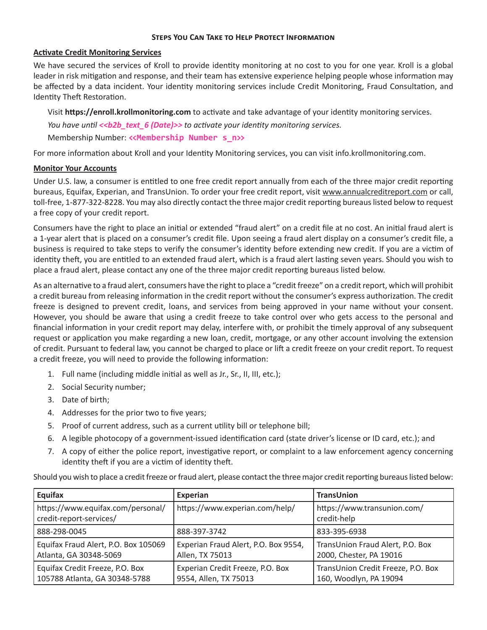#### **Steps You Can Take to Help Protect Information**

# **Activate Credit Monitoring Services**

We have secured the services of Kroll to provide identity monitoring at no cost to you for one year. Kroll is a global leader in risk mitigation and response, and their team has extensive experience helping people whose information may be affected by a data incident. Your identity monitoring services include Credit Monitoring, Fraud Consultation, and Identity Theft Restoration.

Visit **https://enroll.krollmonitoring.com** to activate and take advantage of your identity monitoring services.

 *You have until <<b2b\_text\_6 (Date)>> to activate your identity monitoring services.*

Membership Number: **<<Membership Number s\_n>>**

For more information about Kroll and your Identity Monitoring services, you can visit info.krollmonitoring.com.

# **Monitor Your Accounts**

Under U.S. law, a consumer is entitled to one free credit report annually from each of the three major credit reporting bureaus, Equifax, Experian, and TransUnion. To order your free credit report, visit www.annualcreditreport.com or call, toll-free, 1-877-322-8228. You may also directly contact the three major credit reporting bureaus listed below to request a free copy of your credit report.

Consumers have the right to place an initial or extended "fraud alert" on a credit file at no cost. An initial fraud alert is a 1-year alert that is placed on a consumer's credit file. Upon seeing a fraud alert display on a consumer's credit file, a business is required to take steps to verify the consumer's identity before extending new credit. If you are a victim of identity theft, you are entitled to an extended fraud alert, which is a fraud alert lasting seven years. Should you wish to place a fraud alert, please contact any one of the three major credit reporting bureaus listed below.

As an alternative to a fraud alert, consumers have the right to place a "credit freeze" on a credit report, which will prohibit a credit bureau from releasing information in the credit report without the consumer's express authorization. The credit freeze is designed to prevent credit, loans, and services from being approved in your name without your consent. However, you should be aware that using a credit freeze to take control over who gets access to the personal and financial information in your credit report may delay, interfere with, or prohibit the timely approval of any subsequent request or application you make regarding a new loan, credit, mortgage, or any other account involving the extension of credit. Pursuant to federal law, you cannot be charged to place or lift a credit freeze on your credit report. To request a credit freeze, you will need to provide the following information:

- 1. Full name (including middle initial as well as Jr., Sr., II, III, etc.);
- 2. Social Security number;
- 3. Date of birth;
- 4. Addresses for the prior two to five years;
- 5. Proof of current address, such as a current utility bill or telephone bill;
- 6. A legible photocopy of a government-issued identification card (state driver's license or ID card, etc.); and
- 7. A copy of either the police report, investigative report, or complaint to a law enforcement agency concerning identity theft if you are a victim of identity theft.

Should you wish to place a credit freeze or fraud alert, please contact the three major credit reporting bureaus listed below:

| Equifax                                                          | Experian                                                  | <b>TransUnion</b>                                            |
|------------------------------------------------------------------|-----------------------------------------------------------|--------------------------------------------------------------|
| https://www.equifax.com/personal/<br>credit-report-services/     | https://www.experian.com/help/                            | https://www.transunion.com/<br>credit-help                   |
| 888-298-0045                                                     | 888-397-3742                                              | 833-395-6938                                                 |
| Equifax Fraud Alert, P.O. Box 105069<br>Atlanta, GA 30348-5069   | Experian Fraud Alert, P.O. Box 9554,<br>Allen, TX 75013   | TransUnion Fraud Alert, P.O. Box<br>2000, Chester, PA 19016  |
| Equifax Credit Freeze, P.O. Box<br>105788 Atlanta, GA 30348-5788 | Experian Credit Freeze, P.O. Box<br>9554, Allen, TX 75013 | TransUnion Credit Freeze, P.O. Box<br>160, Woodlyn, PA 19094 |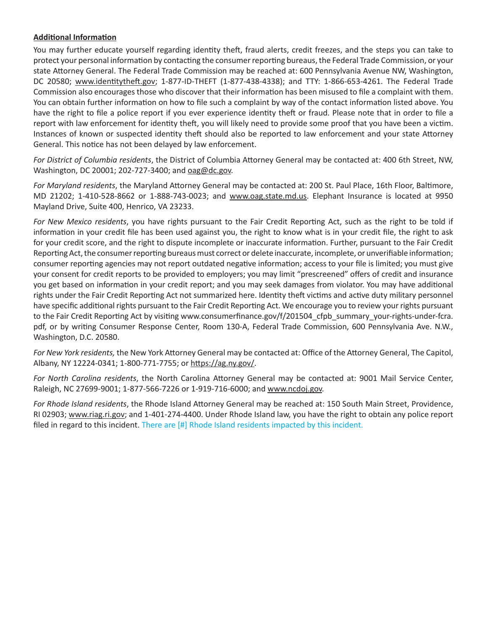# **Additional Information**

You may further educate yourself regarding identity theft, fraud alerts, credit freezes, and the steps you can take to protect your personal information by contacting the consumer reporting bureaus, the Federal Trade Commission, or your state Attorney General. The Federal Trade Commission may be reached at: 600 Pennsylvania Avenue NW, Washington, DC 20580; www.identitytheft.gov; 1-877-ID-THEFT (1-877-438-4338); and TTY: 1-866-653-4261. The Federal Trade Commission also encourages those who discover that their information has been misused to file a complaint with them. You can obtain further information on how to file such a complaint by way of the contact information listed above. You have the right to file a police report if you ever experience identity theft or fraud. Please note that in order to file a report with law enforcement for identity theft, you will likely need to provide some proof that you have been a victim. Instances of known or suspected identity theft should also be reported to law enforcement and your state Attorney General. This notice has not been delayed by law enforcement.

*For District of Columbia residents*, the District of Columbia Attorney General may be contacted at: 400 6th Street, NW, Washington, DC 20001; 202-727-3400; and oag@dc.gov.

*For Maryland residents*, the Maryland Attorney General may be contacted at: 200 St. Paul Place, 16th Floor, Baltimore, MD 21202; 1-410-528-8662 or 1-888-743-0023; and www.oag.state.md.us. Elephant Insurance is located at 9950 Mayland Drive, Suite 400, Henrico, VA 23233.

*For New Mexico residents*, you have rights pursuant to the Fair Credit Reporting Act, such as the right to be told if information in your credit file has been used against you, the right to know what is in your credit file, the right to ask for your credit score, and the right to dispute incomplete or inaccurate information. Further, pursuant to the Fair Credit Reporting Act, the consumer reporting bureaus must correct or delete inaccurate, incomplete, or unverifiable information; consumer reporting agencies may not report outdated negative information; access to your file is limited; you must give your consent for credit reports to be provided to employers; you may limit "prescreened" offers of credit and insurance you get based on information in your credit report; and you may seek damages from violator. You may have additional rights under the Fair Credit Reporting Act not summarized here. Identity theft victims and active duty military personnel have specific additional rights pursuant to the Fair Credit Reporting Act. We encourage you to review your rights pursuant to the Fair Credit Reporting Act by visiting www.consumerfinance.gov/f/201504\_cfpb\_summary\_your-rights-under-fcra. pdf, or by writing Consumer Response Center, Room 130-A, Federal Trade Commission, 600 Pennsylvania Ave. N.W., Washington, D.C. 20580.

*For New York residents,* the New York Attorney General may be contacted at: Office of the Attorney General, The Capitol, Albany, NY 12224-0341; 1-800-771-7755; or https://ag.ny.gov/.

*For North Carolina residents*, the North Carolina Attorney General may be contacted at: 9001 Mail Service Center, Raleigh, NC 27699-9001; 1-877-566-7226 or 1-919-716-6000; and www.ncdoj.gov.

*For Rhode Island residents*, the Rhode Island Attorney General may be reached at: 150 South Main Street, Providence, RI 02903; www.riag.ri.gov; and 1-401-274-4400. Under Rhode Island law, you have the right to obtain any police report filed in regard to this incident. There are [#] Rhode Island residents impacted by this incident.